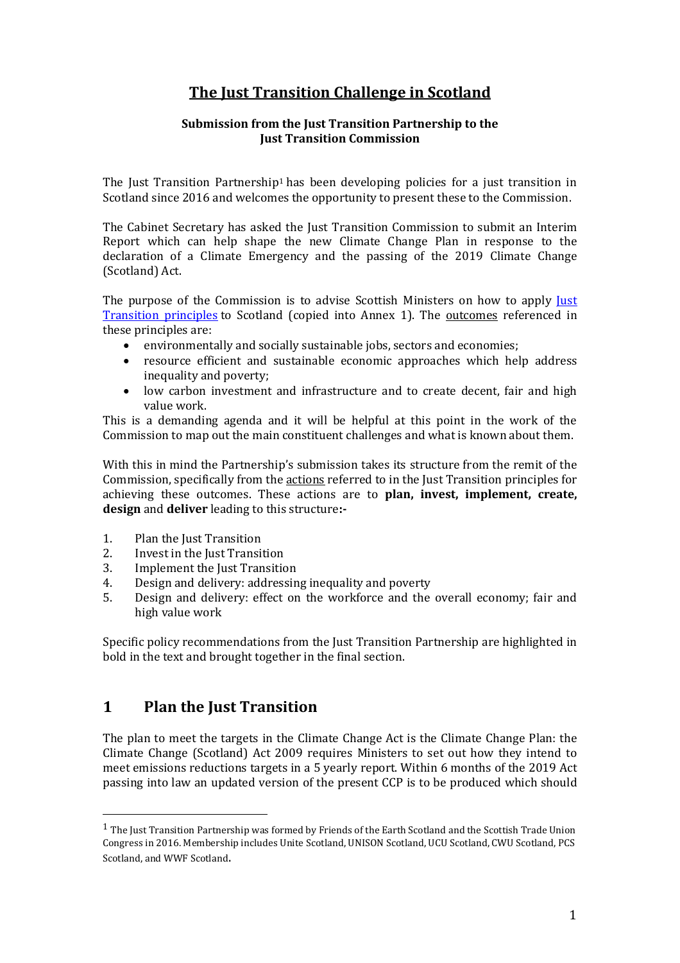# **The Just Transition Challenge in Scotland**

#### **Submission from the Just Transition Partnership to the Just Transition Commission**

The Just Transition Partnership<sup>1</sup> has been developing policies for a just transition in Scotland since 2016 and welcomes the opportunity to present these to the Commission.

The Cabinet Secretary has asked the Just Transition Commission to submit an Interim Report which can help shape the new Climate Change Plan in response to the declaration of a Climate Emergency and the passing of the 2019 Climate Change (Scotland) Act.

The purpose of the Commission is to advise Scottish Ministers on how to apply <u>Just</u> [Transition principles](http://www.ilo.org/wcmsp5/groups/public/---ed_emp/---emp_ent/documents/publication/wcms_432859.pdf) to Scotland (copied into Annex 1). The outcomes referenced in these principles are:

- environmentally and socially sustainable jobs, sectors and economies;
- resource efficient and sustainable economic approaches which help address inequality and poverty;
- low carbon investment and infrastructure and to create decent, fair and high value work.

This is a demanding agenda and it will be helpful at this point in the work of the Commission to map out the main constituent challenges and what is known about them.

With this in mind the Partnership's submission takes its structure from the remit of the Commission, specifically from the actions referred to in the Just Transition principles for achieving these outcomes. These actions are to **plan, invest, implement, create, design** and **deliver** leading to this structure**:-**

- 1. Plan the Just Transition
- 2. Invest in the Just Transition
- 3. Implement the Just Transition
- 4. Design and delivery: addressing inequality and poverty
- 5. Design and delivery: effect on the workforce and the overall economy; fair and high value work

Specific policy recommendations from the Just Transition Partnership are highlighted in bold in the text and brought together in the final section.

## **1 Plan the Just Transition**

The plan to meet the targets in the Climate Change Act is the Climate Change Plan: the Climate Change (Scotland) Act 2009 requires Ministers to set out how they intend to meet emissions reductions targets in a 5 yearly report. Within 6 months of the 2019 Act passing into law an updated version of the present CCP is to be produced which should

<sup>&</sup>lt;sup>1</sup> The Just Transition Partnership was formed by Friends of the Earth Scotland and the Scottish Trade Union Congress in 2016. Membership includes Unite Scotland, UNISON Scotland, UCU Scotland, CWU Scotland, PCS Scotland, and WWF Scotland.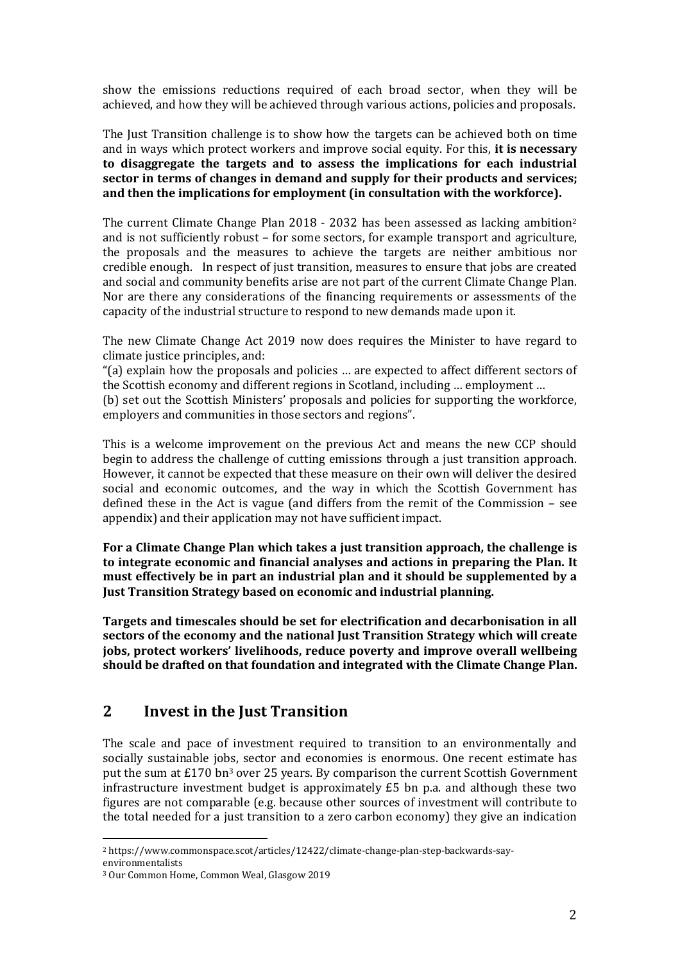show the emissions reductions required of each broad sector, when they will be achieved, and how they will be achieved through various actions, policies and proposals.

The Just Transition challenge is to show how the targets can be achieved both on time and in ways which protect workers and improve social equity. For this, **it is necessary to disaggregate the targets and to assess the implications for each industrial sector in terms of changes in demand and supply for their products and services; and then the implications for employment (in consultation with the workforce).**

The current Climate Change Plan 2018 - 2032 has been assessed as lacking ambition<sup>2</sup> and is not sufficiently robust – for some sectors, for example transport and agriculture, the proposals and the measures to achieve the targets are neither ambitious nor credible enough. In respect of just transition, measures to ensure that jobs are created and social and community benefits arise are not part of the current Climate Change Plan. Nor are there any considerations of the financing requirements or assessments of the capacity of the industrial structure to respond to new demands made upon it.

The new Climate Change Act 2019 now does requires the Minister to have regard to climate justice principles, and:

"(a) explain how the proposals and policies … are expected to affect different sectors of the Scottish economy and different regions in Scotland, including … employment …

(b) set out the Scottish Ministers' proposals and policies for supporting the workforce, employers and communities in those sectors and regions".

This is a welcome improvement on the previous Act and means the new CCP should begin to address the challenge of cutting emissions through a just transition approach. However, it cannot be expected that these measure on their own will deliver the desired social and economic outcomes, and the way in which the Scottish Government has defined these in the Act is vague (and differs from the remit of the Commission – see appendix) and their application may not have sufficient impact.

**For a Climate Change Plan which takes a just transition approach, the challenge is to integrate economic and financial analyses and actions in preparing the Plan. It must effectively be in part an industrial plan and it should be supplemented by a Just Transition Strategy based on economic and industrial planning.** 

**Targets and timescales should be set for electrification and decarbonisation in all sectors of the economy and the national Just Transition Strategy which will create jobs, protect workers' livelihoods, reduce poverty and improve overall wellbeing should be drafted on that foundation and integrated with the Climate Change Plan.**

## **2 Invest in the Just Transition**

The scale and pace of investment required to transition to an environmentally and socially sustainable jobs, sector and economies is enormous. One recent estimate has put the sum at  $E170$  bn<sup>3</sup> over 25 years. By comparison the current Scottish Government infrastructure investment budget is approximately £5 bn p.a. and although these two figures are not comparable (e.g. because other sources of investment will contribute to the total needed for a just transition to a zero carbon economy) they give an indication

<sup>2</sup> https://www.commonspace.scot/articles/12422/climate-change-plan-step-backwards-sayenvironmentalists

<sup>3</sup> Our Common Home, Common Weal, Glasgow 2019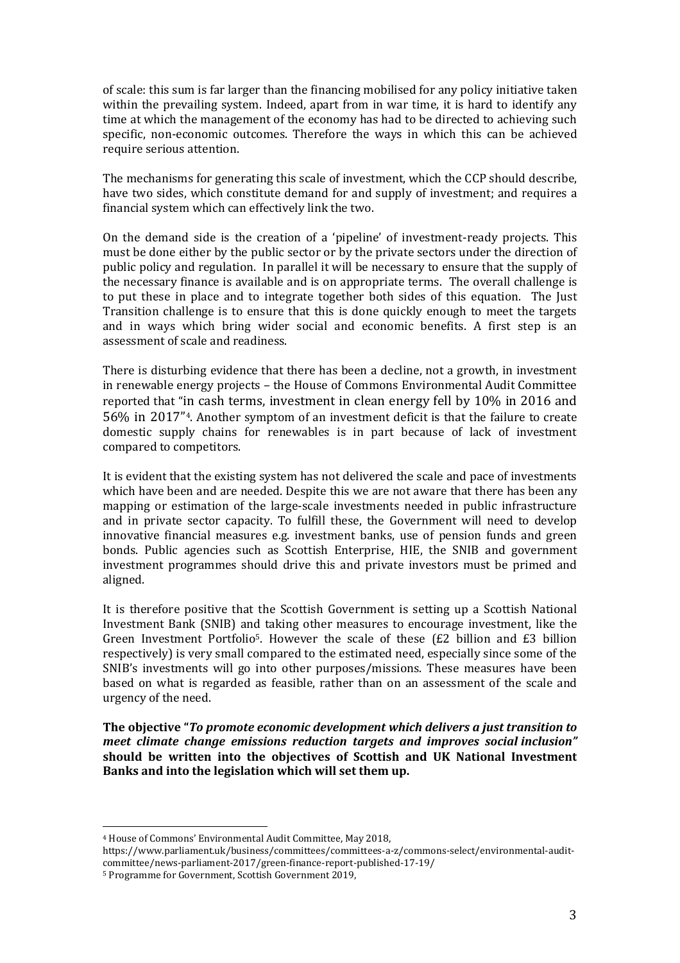of scale: this sum is far larger than the financing mobilised for any policy initiative taken within the prevailing system. Indeed, apart from in war time, it is hard to identify any time at which the management of the economy has had to be directed to achieving such specific, non-economic outcomes. Therefore the ways in which this can be achieved require serious attention.

The mechanisms for generating this scale of investment, which the CCP should describe, have two sides, which constitute demand for and supply of investment; and requires a financial system which can effectively link the two.

On the demand side is the creation of a 'pipeline' of investment-ready projects. This must be done either by the public sector or by the private sectors under the direction of public policy and regulation. In parallel it will be necessary to ensure that the supply of the necessary finance is available and is on appropriate terms. The overall challenge is to put these in place and to integrate together both sides of this equation. The Just Transition challenge is to ensure that this is done quickly enough to meet the targets and in ways which bring wider social and economic benefits. A first step is an assessment of scale and readiness.

There is disturbing evidence that there has been a decline, not a growth, in investment in renewable energy projects – the House of Commons Environmental Audit Committee reported that "in cash terms, investment in clean energy fell by 10% in 2016 and 56% in 2017"4. Another symptom of an investment deficit is that the failure to create domestic supply chains for renewables is in part because of lack of investment compared to competitors.

It is evident that the existing system has not delivered the scale and pace of investments which have been and are needed. Despite this we are not aware that there has been any mapping or estimation of the large-scale investments needed in public infrastructure and in private sector capacity. To fulfill these, the Government will need to develop innovative financial measures e.g. investment banks, use of pension funds and green bonds. Public agencies such as Scottish Enterprise, HIE, the SNIB and government investment programmes should drive this and private investors must be primed and aligned.

It is therefore positive that the Scottish Government is setting up a Scottish National Investment Bank (SNIB) and taking other measures to encourage investment, like the Green Investment Portfolio<sup>5</sup>. However the scale of these  $(E2)$  billion and  $E3$  billion respectively) is very small compared to the estimated need, especially since some of the SNIB's investments will go into other purposes/missions. These measures have been based on what is regarded as feasible, rather than on an assessment of the scale and urgency of the need.

**The objective "***To promote economic development which delivers a just transition to meet climate change emissions reduction targets and improves social inclusion"*  **should be written into the objectives of Scottish and UK National Investment Banks and into the legislation which will set them up.**

<sup>4</sup> House of Commons' Environmental Audit Committee, May 2018,

https://www.parliament.uk/business/committees/committees-a-z/commons-select/environmental-auditcommittee/news-parliament-2017/green-finance-report-published-17-19/

<sup>5</sup> Programme for Government, Scottish Government 2019,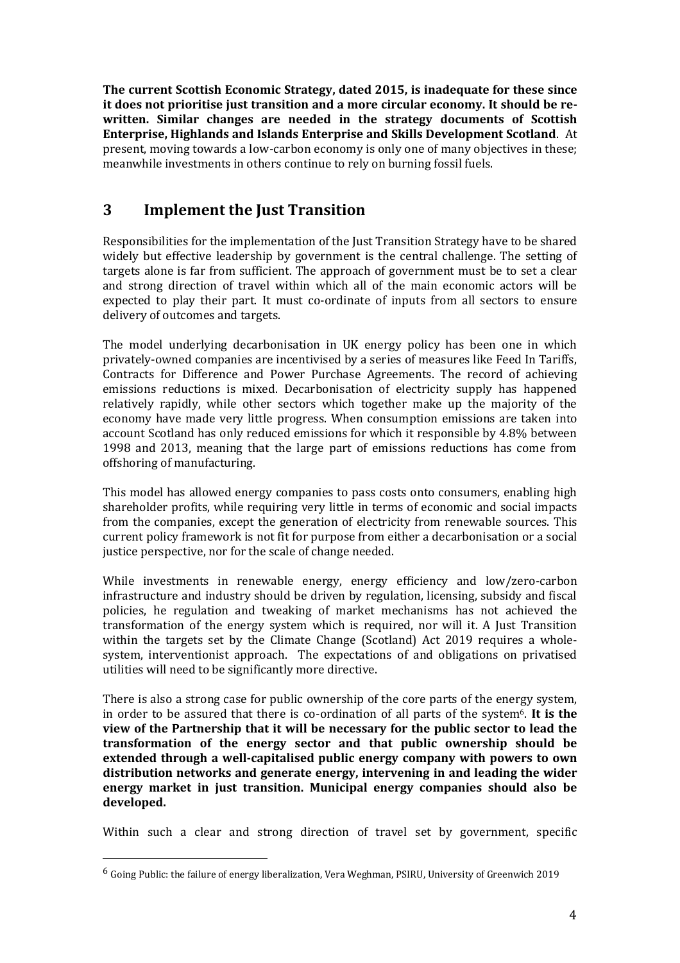**The current Scottish Economic Strategy, dated 2015, is inadequate for these since it does not prioritise just transition and a more circular economy. It should be rewritten. Similar changes are needed in the strategy documents of Scottish Enterprise, Highlands and Islands Enterprise and Skills Development Scotland**. At present, moving towards a low-carbon economy is only one of many objectives in these; meanwhile investments in others continue to rely on burning fossil fuels.

# **3 Implement the Just Transition**

Responsibilities for the implementation of the Just Transition Strategy have to be shared widely but effective leadership by government is the central challenge. The setting of targets alone is far from sufficient. The approach of government must be to set a clear and strong direction of travel within which all of the main economic actors will be expected to play their part. It must co-ordinate of inputs from all sectors to ensure delivery of outcomes and targets.

The model underlying decarbonisation in UK energy policy has been one in which privately-owned companies are incentivised by a series of measures like Feed In Tariffs, Contracts for Difference and Power Purchase Agreements. The record of achieving emissions reductions is mixed. Decarbonisation of electricity supply has happened relatively rapidly, while other sectors which together make up the majority of the economy have made very little progress. When consumption emissions are taken into account Scotland has only reduced emissions for which it responsible by 4.8% between 1998 and 2013, meaning that the large part of emissions reductions has come from offshoring of manufacturing.

This model has allowed energy companies to pass costs onto consumers, enabling high shareholder profits, while requiring very little in terms of economic and social impacts from the companies, except the generation of electricity from renewable sources. This current policy framework is not fit for purpose from either a decarbonisation or a social justice perspective, nor for the scale of change needed.

While investments in renewable energy, energy efficiency and low/zero-carbon infrastructure and industry should be driven by regulation, licensing, subsidy and fiscal policies, he regulation and tweaking of market mechanisms has not achieved the transformation of the energy system which is required, nor will it. A Just Transition within the targets set by the Climate Change (Scotland) Act 2019 requires a wholesystem, interventionist approach. The expectations of and obligations on privatised utilities will need to be significantly more directive.

There is also a strong case for public ownership of the core parts of the energy system, in order to be assured that there is co-ordination of all parts of the system6. **It is the view of the Partnership that it will be necessary for the public sector to lead the transformation of the energy sector and that public ownership should be extended through a well-capitalised public energy company with powers to own distribution networks and generate energy, intervening in and leading the wider energy market in just transition. Municipal energy companies should also be developed.** 

Within such a clear and strong direction of travel set by government, specific

 $6$  Going Public: the failure of energy liberalization, Vera Weghman, PSIRU, University of Greenwich 2019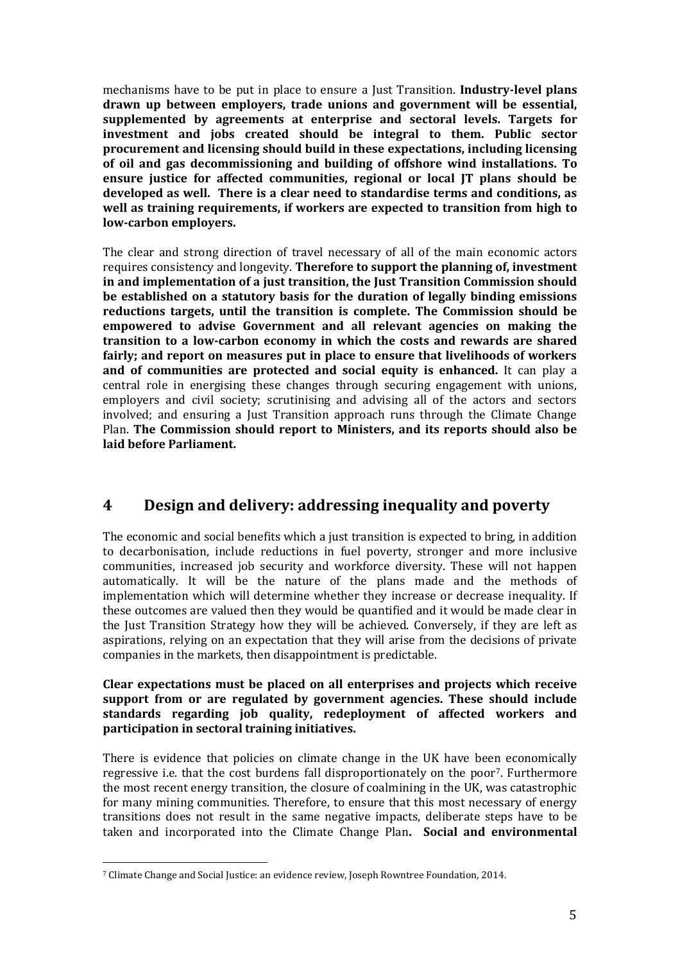mechanisms have to be put in place to ensure a Just Transition. **Industry-level plans drawn up between employers, trade unions and government will be essential, supplemented by agreements at enterprise and sectoral levels. Targets for investment and jobs created should be integral to them. Public sector procurement and licensing should build in these expectations, including licensing of oil and gas decommissioning and building of offshore wind installations. To ensure justice for affected communities, regional or local JT plans should be developed as well. There is a clear need to standardise terms and conditions, as well as training requirements, if workers are expected to transition from high to low-carbon employers.**

The clear and strong direction of travel necessary of all of the main economic actors requires consistency and longevity. **Therefore to support the planning of, investment in and implementation of a just transition, the Just Transition Commission should be established on a statutory basis for the duration of legally binding emissions reductions targets, until the transition is complete. The Commission should be empowered to advise Government and all relevant agencies on making the transition to a low-carbon economy in which the costs and rewards are shared fairly; and report on measures put in place to ensure that livelihoods of workers and of communities are protected and social equity is enhanced.** It can play a central role in energising these changes through securing engagement with unions, employers and civil society; scrutinising and advising all of the actors and sectors involved; and ensuring a Just Transition approach runs through the Climate Change Plan. **The Commission should report to Ministers, and its reports should also be laid before Parliament.** 

## **4 Design and delivery: addressing inequality and poverty**

The economic and social benefits which a just transition is expected to bring, in addition to decarbonisation, include reductions in fuel poverty, stronger and more inclusive communities, increased job security and workforce diversity. These will not happen automatically. It will be the nature of the plans made and the methods of implementation which will determine whether they increase or decrease inequality. If these outcomes are valued then they would be quantified and it would be made clear in the Just Transition Strategy how they will be achieved. Conversely, if they are left as aspirations, relying on an expectation that they will arise from the decisions of private companies in the markets, then disappointment is predictable.

#### **Clear expectations must be placed on all enterprises and projects which receive support from or are regulated by government agencies. These should include standards regarding job quality, redeployment of affected workers and participation in sectoral training initiatives.**

There is evidence that policies on climate change in the UK have been economically regressive i.e. that the cost burdens fall disproportionately on the poor7. Furthermore the most recent energy transition, the closure of coalmining in the UK, was catastrophic for many mining communities. Therefore, to ensure that this most necessary of energy transitions does not result in the same negative impacts, deliberate steps have to be taken and incorporated into the Climate Change Plan**. Social and environmental** 

<sup>7</sup> Climate Change and Social Justice: an evidence review, Joseph Rowntree Foundation, 2014.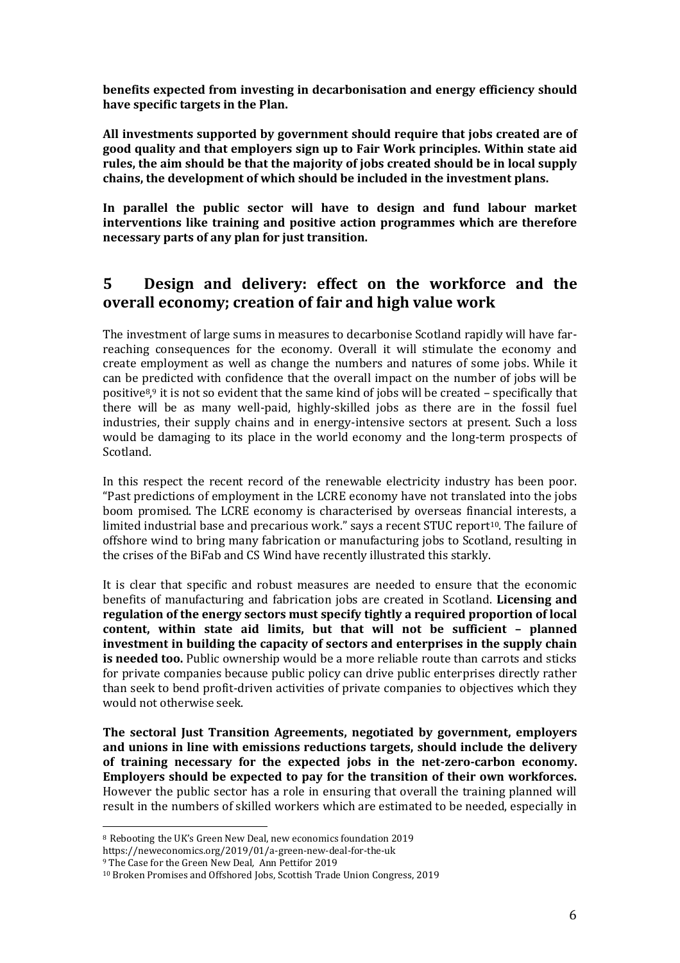**benefits expected from investing in decarbonisation and energy efficiency should have specific targets in the Plan.**

**All investments supported by government should require that jobs created are of good quality and that employers sign up to Fair Work principles. Within state aid rules, the aim should be that the majority of jobs created should be in local supply chains, the development of which should be included in the investment plans.** 

**In parallel the public sector will have to design and fund labour market interventions like training and positive action programmes which are therefore necessary parts of any plan for just transition.**

## **5 Design and delivery: effect on the workforce and the overall economy; creation of fair and high value work**

The investment of large sums in measures to decarbonise Scotland rapidly will have farreaching consequences for the economy. Overall it will stimulate the economy and create employment as well as change the numbers and natures of some jobs. While it can be predicted with confidence that the overall impact on the number of jobs will be positive8, <sup>9</sup> it is not so evident that the same kind of jobs will be created – specifically that there will be as many well-paid, highly-skilled jobs as there are in the fossil fuel industries, their supply chains and in energy-intensive sectors at present. Such a loss would be damaging to its place in the world economy and the long-term prospects of Scotland.

In this respect the recent record of the renewable electricity industry has been poor. "Past predictions of employment in the LCRE economy have not translated into the jobs boom promised. The LCRE economy is characterised by overseas financial interests, a limited industrial base and precarious work." says a recent STUC report<sup>10</sup>. The failure of offshore wind to bring many fabrication or manufacturing jobs to Scotland, resulting in the crises of the BiFab and CS Wind have recently illustrated this starkly.

It is clear that specific and robust measures are needed to ensure that the economic benefits of manufacturing and fabrication jobs are created in Scotland. **Licensing and regulation of the energy sectors must specify tightly a required proportion of local content, within state aid limits, but that will not be sufficient – planned investment in building the capacity of sectors and enterprises in the supply chain is needed too.** Public ownership would be a more reliable route than carrots and sticks for private companies because public policy can drive public enterprises directly rather than seek to bend profit-driven activities of private companies to objectives which they would not otherwise seek.

**The sectoral Just Transition Agreements, negotiated by government, employers and unions in line with emissions reductions targets, should include the delivery of training necessary for the expected jobs in the net-zero-carbon economy. Employers should be expected to pay for the transition of their own workforces.** However the public sector has a role in ensuring that overall the training planned will result in the numbers of skilled workers which are estimated to be needed, especially in

https://neweconomics.org/2019/01/a-green-new-deal-for-the-uk

<sup>8</sup> Rebooting the UK's Green New Deal, new economics foundation 2019

<sup>9</sup> The Case for the Green New Deal*,* Ann Pettifor 2019

<sup>10</sup> Broken Promises and Offshored Jobs, Scottish Trade Union Congress, 2019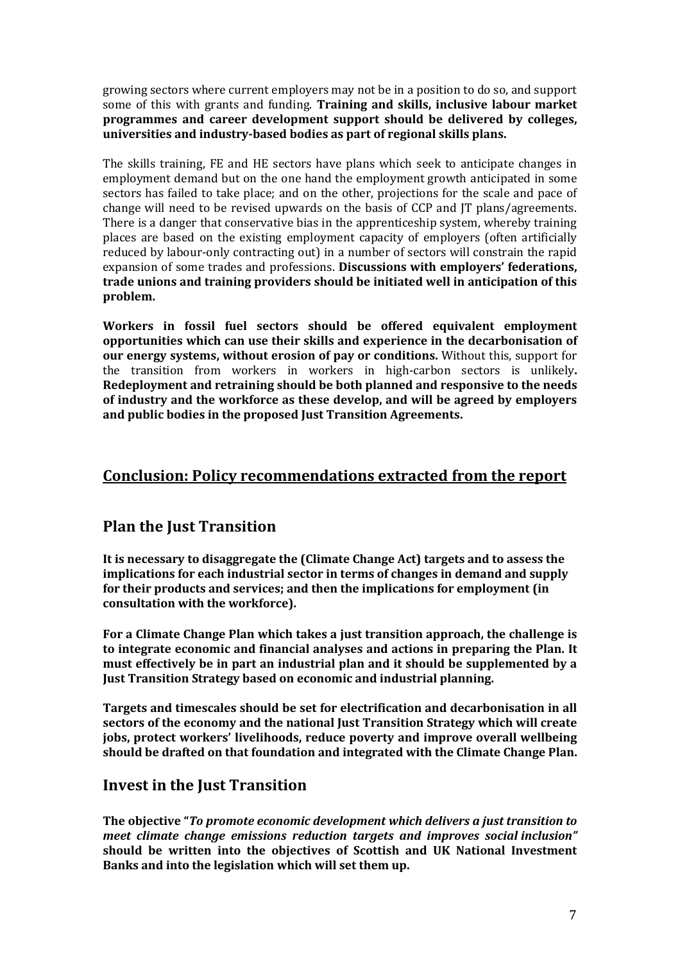growing sectors where current employers may not be in a position to do so, and support some of this with grants and funding. **Training and skills, inclusive labour market programmes and career development support should be delivered by colleges, universities and industry-based bodies as part of regional skills plans.**

The skills training, FE and HE sectors have plans which seek to anticipate changes in employment demand but on the one hand the employment growth anticipated in some sectors has failed to take place; and on the other, projections for the scale and pace of change will need to be revised upwards on the basis of CCP and JT plans/agreements. There is a danger that conservative bias in the apprenticeship system, whereby training places are based on the existing employment capacity of employers (often artificially reduced by labour-only contracting out) in a number of sectors will constrain the rapid expansion of some trades and professions. **Discussions with employers' federations, trade unions and training providers should be initiated well in anticipation of this problem.**

**Workers in fossil fuel sectors should be offered equivalent employment opportunities which can use their skills and experience in the decarbonisation of our energy systems, without erosion of pay or conditions.** Without this, support for the transition from workers in workers in high-carbon sectors is unlikely**. Redeployment and retraining should be both planned and responsive to the needs of industry and the workforce as these develop, and will be agreed by employers and public bodies in the proposed Just Transition Agreements.** 

## **Conclusion: Policy recommendations extracted from the report**

## **Plan the Just Transition**

**It is necessary to disaggregate the (Climate Change Act) targets and to assess the implications for each industrial sector in terms of changes in demand and supply for their products and services; and then the implications for employment (in consultation with the workforce).**

**For a Climate Change Plan which takes a just transition approach, the challenge is to integrate economic and financial analyses and actions in preparing the Plan. It must effectively be in part an industrial plan and it should be supplemented by a Just Transition Strategy based on economic and industrial planning.** 

**Targets and timescales should be set for electrification and decarbonisation in all sectors of the economy and the national Just Transition Strategy which will create jobs, protect workers' livelihoods, reduce poverty and improve overall wellbeing should be drafted on that foundation and integrated with the Climate Change Plan.**

#### **Invest in the Just Transition**

**The objective "***To promote economic development which delivers a just transition to meet climate change emissions reduction targets and improves social inclusion"*  **should be written into the objectives of Scottish and UK National Investment Banks and into the legislation which will set them up.**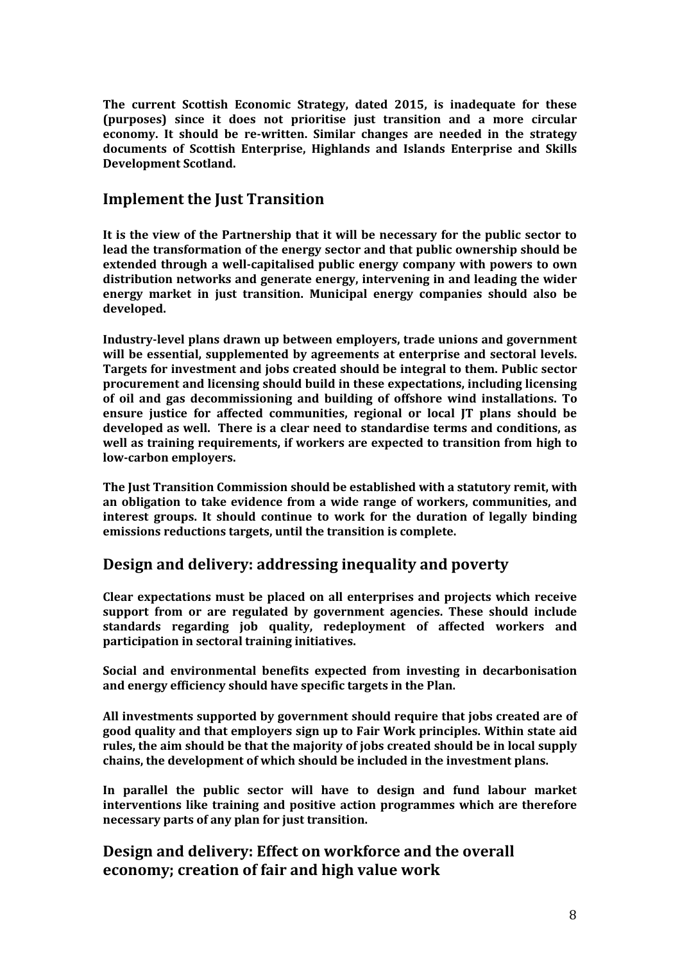**The current Scottish Economic Strategy, dated 2015, is inadequate for these (purposes) since it does not prioritise just transition and a more circular economy. It should be re-written. Similar changes are needed in the strategy documents of Scottish Enterprise, Highlands and Islands Enterprise and Skills Development Scotland.** 

#### **Implement the Just Transition**

**It is the view of the Partnership that it will be necessary for the public sector to lead the transformation of the energy sector and that public ownership should be extended through a well-capitalised public energy company with powers to own distribution networks and generate energy, intervening in and leading the wider energy market in just transition. Municipal energy companies should also be developed.** 

**Industry-level plans drawn up between employers, trade unions and government will be essential, supplemented by agreements at enterprise and sectoral levels. Targets for investment and jobs created should be integral to them. Public sector procurement and licensing should build in these expectations, including licensing of oil and gas decommissioning and building of offshore wind installations. To ensure justice for affected communities, regional or local JT plans should be developed as well. There is a clear need to standardise terms and conditions, as well as training requirements, if workers are expected to transition from high to low-carbon employers.**

**The Just Transition Commission should be established with a statutory remit, with an obligation to take evidence from a wide range of workers, communities, and interest groups. It should continue to work for the duration of legally binding emissions reductions targets, until the transition is complete.**

## **Design and delivery: addressing inequality and poverty**

**Clear expectations must be placed on all enterprises and projects which receive support from or are regulated by government agencies. These should include standards regarding job quality, redeployment of affected workers and participation in sectoral training initiatives.** 

**Social and environmental benefits expected from investing in decarbonisation and energy efficiency should have specific targets in the Plan.**

**All investments supported by government should require that jobs created are of good quality and that employers sign up to Fair Work principles. Within state aid rules, the aim should be that the majority of jobs created should be in local supply chains, the development of which should be included in the investment plans.** 

**In parallel the public sector will have to design and fund labour market interventions like training and positive action programmes which are therefore necessary parts of any plan for just transition.**

## **Design and delivery: Effect on workforce and the overall economy; creation of fair and high value work**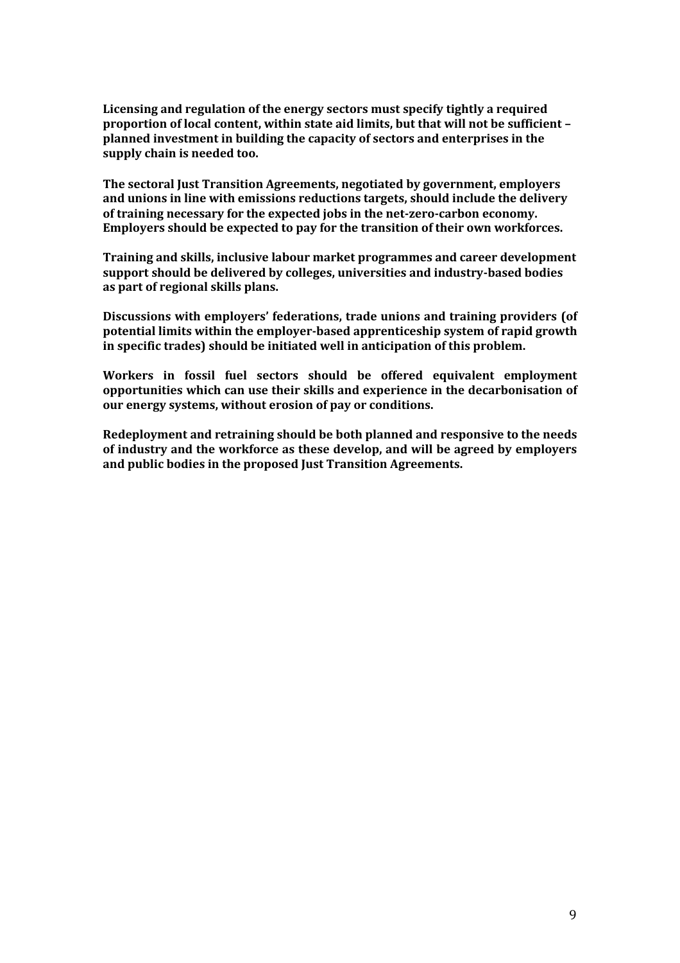**Licensing and regulation of the energy sectors must specify tightly a required proportion of local content, within state aid limits, but that will not be sufficient – planned investment in building the capacity of sectors and enterprises in the supply chain is needed too.**

**The sectoral Just Transition Agreements, negotiated by government, employers and unions in line with emissions reductions targets, should include the delivery of training necessary for the expected jobs in the net-zero-carbon economy. Employers should be expected to pay for the transition of their own workforces.**

**Training and skills, inclusive labour market programmes and career development support should be delivered by colleges, universities and industry-based bodies as part of regional skills plans.**

**Discussions with employers' federations, trade unions and training providers (of potential limits within the employer-based apprenticeship system of rapid growth in specific trades) should be initiated well in anticipation of this problem.**

**Workers in fossil fuel sectors should be offered equivalent employment opportunities which can use their skills and experience in the decarbonisation of our energy systems, without erosion of pay or conditions.** 

**Redeployment and retraining should be both planned and responsive to the needs of industry and the workforce as these develop, and will be agreed by employers and public bodies in the proposed Just Transition Agreements.**